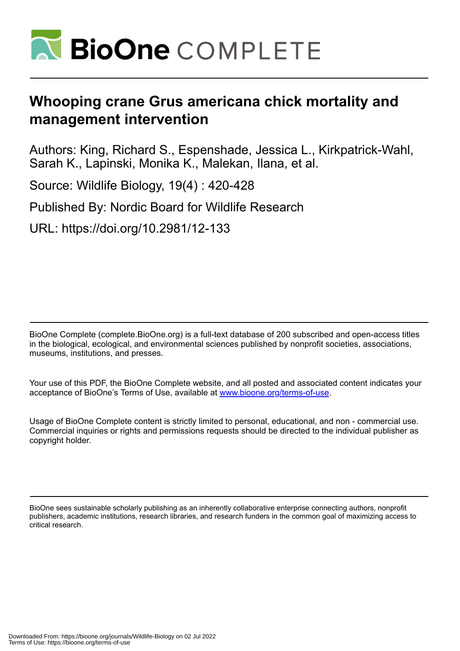

# **Whooping crane Grus americana chick mortality and management intervention**

Authors: King, Richard S., Espenshade, Jessica L., Kirkpatrick-Wahl, Sarah K., Lapinski, Monika K., Malekan, Ilana, et al.

Source: Wildlife Biology, 19(4) : 420-428

Published By: Nordic Board for Wildlife Research

URL: https://doi.org/10.2981/12-133

BioOne Complete (complete.BioOne.org) is a full-text database of 200 subscribed and open-access titles in the biological, ecological, and environmental sciences published by nonprofit societies, associations, museums, institutions, and presses.

Your use of this PDF, the BioOne Complete website, and all posted and associated content indicates your acceptance of BioOne's Terms of Use, available at www.bioone.org/terms-of-use.

Usage of BioOne Complete content is strictly limited to personal, educational, and non - commercial use. Commercial inquiries or rights and permissions requests should be directed to the individual publisher as copyright holder.

BioOne sees sustainable scholarly publishing as an inherently collaborative enterprise connecting authors, nonprofit publishers, academic institutions, research libraries, and research funders in the common goal of maximizing access to critical research.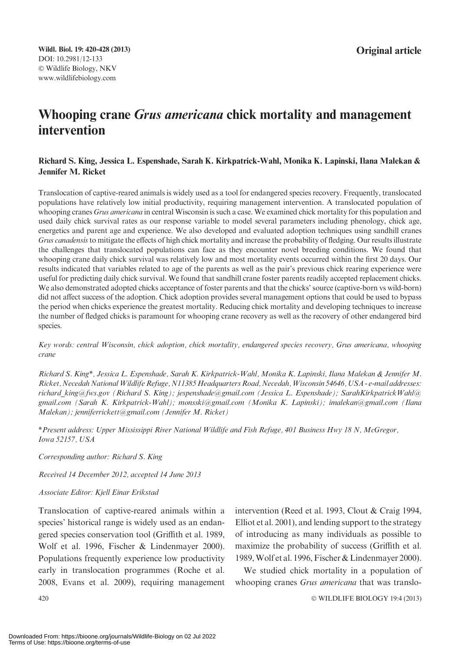# Whooping crane Grus americana chick mortality and management intervention

#### Richard S. King, Jessica L. Espenshade, Sarah K. Kirkpatrick-Wahl, Monika K. Lapinski, Ilana Malekan & Jennifer M. Ricket

Translocation of captive-reared animals is widely used as a tool for endangered species recovery. Frequently, translocated populations have relatively low initial productivity, requiring management intervention. A translocated population of whooping cranes Grus americana in central Wisconsin is such a case. We examined chick mortality for this population and used daily chick survival rates as our response variable to model several parameters including phenology, chick age, energetics and parent age and experience. We also developed and evaluated adoption techniques using sandhill cranes Grus canadensis to mitigate the effects of high chick mortality and increase the probability of fledging. Our results illustrate the challenges that translocated populations can face as they encounter novel breeding conditions. We found that whooping crane daily chick survival was relatively low and most mortality events occurred within the first 20 days. Our results indicated that variables related to age of the parents as well as the pair's previous chick rearing experience were useful for predicting daily chick survival. We found that sandhill crane foster parents readily accepted replacement chicks. We also demonstrated adopted chicks acceptance of foster parents and that the chicks' source (captive-born vs wild-born) did not affect success of the adoption. Chick adoption provides several management options that could be used to bypass the period when chicks experience the greatest mortality. Reducing chick mortality and developing techniques to increase the number of fledged chicks is paramount for whooping crane recovery as well as the recovery of other endangered bird species.

Key words: central Wisconsin, chick adoption, chick mortality, endangered species recovery, Grus americana, whooping crane

Richard S. King\*, Jessica L. Espenshade, Sarah K. Kirkpatrick-Wahl, Monika K. Lapinski, Ilana Malekan & Jennifer M. Ricket, Necedah National Wildlife Refuge, N11385 Headquarters Road, Necedah, Wisconsin 54646, USA - e-mail addresses: richard king@fws.gov (Richard S. King); jespenshade@gmail.com (Jessica L. Espenshade); SarahKirkpatrickWahl@ gmail.com (Sarah K. Kirkpatrick-Wahl); monsski@gmail.com (Monika K. Lapinski); imalekan@gmail.com (Ilana Malekan); jenniferrickett@gmail.com (Jennifer M. Ricket)

\*Present address: Upper Mississippi River National Wildlife and Fish Refuge, 401 Business Hwy 18 N, McGregor, Iowa 52157, USA

Corresponding author: Richard S. King

Received 14 December 2012, accepted 14 June 2013

#### Associate Editor: Kjell Einar Erikstad

Translocation of captive-reared animals within a species' historical range is widely used as an endangered species conservation tool (Griffith et al. 1989, Wolf et al. 1996, Fischer & Lindenmayer 2000). Populations frequently experience low productivity early in translocation programmes (Roche et al. 2008, Evans et al. 2009), requiring management intervention (Reed et al. 1993, Clout & Craig 1994, Elliot et al. 2001), and lending support to the strategy of introducing as many individuals as possible to maximize the probability of success (Griffith et al. 1989,Wolf et al. 1996, Fischer & Lindenmayer 2000).

We studied chick mortality in a population of whooping cranes Grus americana that was translo-

WILDLIFE BIOLOGY 19:4 (2013)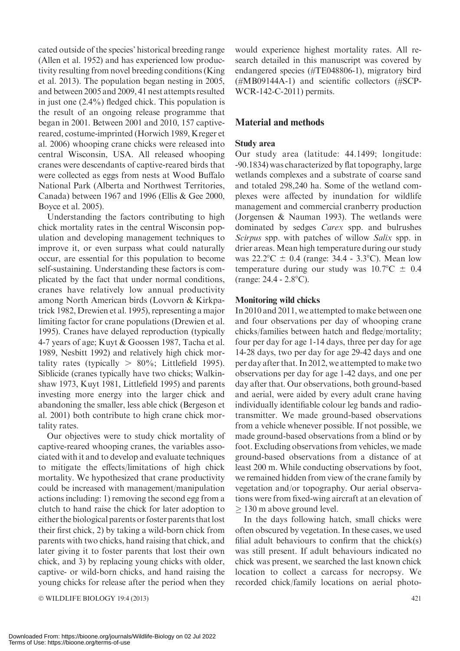© WILDLIFE BIOLOGY 19:4 (2013) 421 Downloaded From: https://bioone.org/journals/Wildlife-Biology on 02 Jul 2022 Terms of Use: https://bioone.org/terms-of-use

cated outside of the species' historical breeding range (Allen et al. 1952) and has experienced low productivity resulting from novel breeding conditions (King et al. 2013). The population began nesting in 2005, and between 2005 and 2009, 41 nest attempts resulted in just one (2.4%) fledged chick. This population is the result of an ongoing release programme that began in 2001. Between 2001 and 2010, 157 captivereared, costume-imprinted (Horwich 1989, Kreger et al. 2006) whooping crane chicks were released into central Wisconsin, USA. All released whooping cranes were descendants of captive-reared birds that were collected as eggs from nests at Wood Buffalo National Park (Alberta and Northwest Territories, Canada) between 1967 and 1996 (Ellis & Gee 2000, Boyce et al. 2005).

Understanding the factors contributing to high chick mortality rates in the central Wisconsin population and developing management techniques to improve it, or even surpass what could naturally occur, are essential for this population to become self-sustaining. Understanding these factors is complicated by the fact that under normal conditions, cranes have relatively low annual productivity among North American birds (Lovvorn & Kirkpatrick 1982, Drewien et al. 1995), representing a major limiting factor for crane populations (Drewien et al. 1995). Cranes have delayed reproduction (typically 4-7 years of age; Kuyt & Goossen 1987, Tacha et al. 1989, Nesbitt 1992) and relatively high chick mortality rates (typically  $> 80\%$ ; Littlefield 1995). Siblicide (cranes typically have two chicks; Walkinshaw 1973, Kuyt 1981, Littlefield 1995) and parents investing more energy into the larger chick and abandoning the smaller, less able chick (Bergeson et al. 2001) both contribute to high crane chick mortality rates.

Our objectives were to study chick mortality of captive-reared whooping cranes, the variables associated with it and to develop and evaluate techniques to mitigate the effects/limitations of high chick mortality. We hypothesized that crane productivity could be increased with management/manipulation actions including: 1) removing the second egg from a clutch to hand raise the chick for later adoption to either the biological parents or foster parents that lost their first chick, 2) by taking a wild-born chick from parents with two chicks, hand raising that chick, and later giving it to foster parents that lost their own chick, and 3) by replacing young chicks with older, captive- or wild-born chicks, and hand raising the young chicks for release after the period when they

would experience highest mortality rates. All research detailed in this manuscript was covered by endangered species (#TE048806-1), migratory bird (#MB09144A-1) and scientific collectors (#SCP-WCR-142-C-2011) permits.

## Material and methods

#### Study area

Our study area (latitude: 44.1499; longitude: -90.1834) was characterized by flat topography, large wetlands complexes and a substrate of coarse sand and totaled 298,240 ha. Some of the wetland complexes were affected by inundation for wildlife management and commercial cranberry production (Jorgensen & Nauman 1993). The wetlands were dominated by sedges Carex spp. and bulrushes Scirpus spp. with patches of willow Salix spp. in drier areas. Mean high temperature during our study was  $22.2^{\circ}\text{C} \pm 0.4$  (range: 34.4 - 3.3°C). Mean low temperature during our study was  $10.7^{\circ}\text{C} \pm 0.4$  $(range: 24.4 - 2.8°C)$ .

#### Monitoring wild chicks

In 2010 and 2011, we attempted to make between one and four observations per day of whooping crane chicks/families between hatch and fledge/mortality; four per day for age 1-14 days, three per day for age 14-28 days, two per day for age 29-42 days and one per day after that. In 2012, we attempted to make two observations per day for age 1-42 days, and one per day after that. Our observations, both ground-based and aerial, were aided by every adult crane having individually identifiable colour leg bands and radiotransmitter. We made ground-based observations from a vehicle whenever possible. If not possible, we made ground-based observations from a blind or by foot. Excluding observations from vehicles, we made ground-based observations from a distance of at least 200 m. While conducting observations by foot, we remained hidden from view of the crane family by vegetation and/or topography. Our aerial observations were from fixed-wing aircraft at an elevation of  $\geq$  130 m above ground level.

In the days following hatch, small chicks were often obscured by vegetation. In these cases, we used filial adult behaviours to confirm that the chick(s) was still present. If adult behaviours indicated no chick was present, we searched the last known chick location to collect a carcass for necropsy. We recorded chick/family locations on aerial photo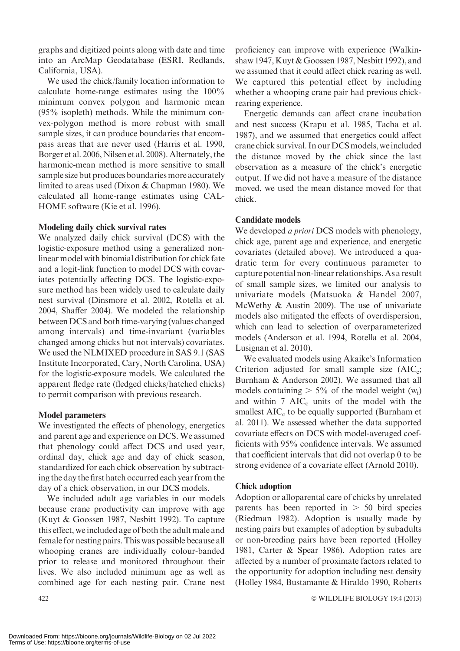graphs and digitized points along with date and time into an ArcMap Geodatabase (ESRI, Redlands, California, USA).

We used the chick/family location information to calculate home-range estimates using the 100% minimum convex polygon and harmonic mean (95% isopleth) methods. While the minimum convex-polygon method is more robust with small sample sizes, it can produce boundaries that encompass areas that are never used (Harris et al. 1990, Borger et al. 2006, Nilsen et al. 2008). Alternately, the harmonic-mean method is more sensitive to small sample size but produces boundaries more accurately limited to areas used (Dixon & Chapman 1980). We calculated all home-range estimates using CAL-HOME software (Kie et al. 1996).

#### Modeling daily chick survival rates

We analyzed daily chick survival (DCS) with the logistic-exposure method using a generalized nonlinear model with binomial distribution for chick fate and a logit-link function to model DCS with covariates potentially affecting DCS. The logistic-exposure method has been widely used to calculate daily nest survival (Dinsmore et al. 2002, Rotella et al. 2004, Shaffer 2004). We modeled the relationship between DCS and both time-varying (values changed among intervals) and time-invariant (variables changed among chicks but not intervals) covariates. We used the NLMIXED procedure in SAS 9.1 (SAS Institute Incorporated, Cary, North Carolina, USA) for the logistic-exposure models. We calculated the apparent fledge rate (fledged chicks/hatched chicks) to permit comparison with previous research.

#### Model parameters

We investigated the effects of phenology, energetics and parent age and experience on DCS. We assumed that phenology could affect DCS and used year, ordinal day, chick age and day of chick season, standardized for each chick observation by subtracting the day the first hatch occurred each year from the day of a chick observation, in our DCS models.

We included adult age variables in our models because crane productivity can improve with age (Kuyt & Goossen 1987, Nesbitt 1992). To capture this effect, we included age of both the adult male and female for nesting pairs. This was possible because all whooping cranes are individually colour-banded prior to release and monitored throughout their lives. We also included minimum age as well as combined age for each nesting pair. Crane nest

proficiency can improve with experience (Walkinshaw 1947, Kuyt & Goossen 1987, Nesbitt 1992), and we assumed that it could affect chick rearing as well. We captured this potential effect by including whether a whooping crane pair had previous chickrearing experience.

Energetic demands can affect crane incubation and nest success (Krapu et al. 1985, Tacha et al. 1987), and we assumed that energetics could affect crane chick survival. In our DCS models, we included the distance moved by the chick since the last observation as a measure of the chick's energetic output. If we did not have a measure of the distance moved, we used the mean distance moved for that chick.

#### Candidate models

We developed *a priori* DCS models with phenology, chick age, parent age and experience, and energetic covariates (detailed above). We introduced a quadratic term for every continuous parameter to capture potential non-linear relationships. As a result of small sample sizes, we limited our analysis to univariate models (Matsuoka & Handel 2007, McWethy & Austin 2009). The use of univariate models also mitigated the effects of overdispersion, which can lead to selection of overparameterized models (Anderson et al. 1994, Rotella et al. 2004, Lusignan et al. 2010).

We evaluated models using Akaike's Information Criterion adjusted for small sample size  $(AIC_c;$ Burnham & Anderson 2002). We assumed that all models containing  $> 5\%$  of the model weight (w<sub>i</sub>) and within  $7 \text{ AIC}_c$  units of the model with the smallest  $AIC_c$  to be equally supported (Burnham et al. 2011). We assessed whether the data supported covariate effects on DCS with model-averaged coefficients with 95% confidence intervals. We assumed that coefficient intervals that did not overlap 0 to be strong evidence of a covariate effect (Arnold 2010).

#### Chick adoption

Adoption or alloparental care of chicks by unrelated parents has been reported in  $> 50$  bird species (Riedman 1982). Adoption is usually made by nesting pairs but examples of adoption by subadults or non-breeding pairs have been reported (Holley 1981, Carter & Spear 1986). Adoption rates are affected by a number of proximate factors related to the opportunity for adoption including nest density (Holley 1984, Bustamante & Hiraldo 1990, Roberts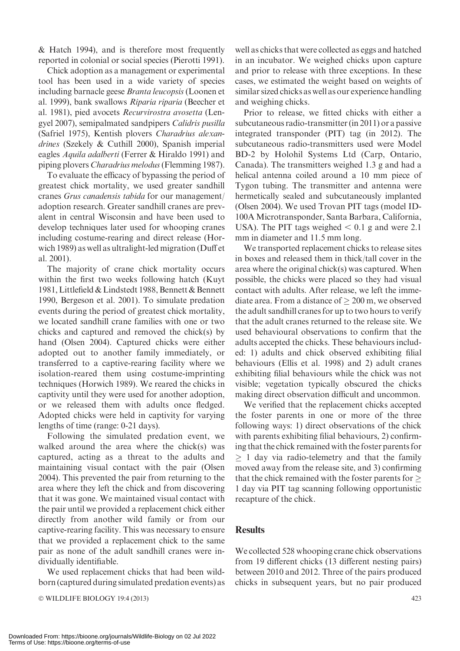& Hatch 1994), and is therefore most frequently reported in colonial or social species (Pierotti 1991).

Chick adoption as a management or experimental tool has been used in a wide variety of species including barnacle geese Branta leucopsis (Loonen et al. 1999), bank swallows Riparia riparia (Beecher et al. 1981), pied avocets Recurvirostra avosetta (Lengyel 2007), semipalmated sandpipers Calidris pusilla (Safriel 1975), Kentish plovers Charadrius alexandrines (Szekely & Cuthill 2000), Spanish imperial eagles Aquila adalberti (Ferrer & Hiraldo 1991) and piping plovers Charadrius melodus(Flemming 1987).

To evaluate the efficacy of bypassing the period of greatest chick mortality, we used greater sandhill cranes Grus canadensis tabida for our management/ adoption research. Greater sandhill cranes are prevalent in central Wisconsin and have been used to develop techniques later used for whooping cranes including costume-rearing and direct release (Horwich 1989) as well as ultralight-led migration (Duff et al. 2001).

The majority of crane chick mortality occurs within the first two weeks following hatch (Kuyt 1981, Littlefield & Lindstedt 1988, Bennett & Bennett 1990, Bergeson et al. 2001). To simulate predation events during the period of greatest chick mortality, we located sandhill crane families with one or two chicks and captured and removed the chick(s) by hand (Olsen 2004). Captured chicks were either adopted out to another family immediately, or transferred to a captive-rearing facility where we isolation-reared them using costume-imprinting techniques (Horwich 1989). We reared the chicks in captivity until they were used for another adoption, or we released them with adults once fledged. Adopted chicks were held in captivity for varying lengths of time (range: 0-21 days).

Following the simulated predation event, we walked around the area where the chick(s) was captured, acting as a threat to the adults and maintaining visual contact with the pair (Olsen 2004). This prevented the pair from returning to the area where they left the chick and from discovering that it was gone. We maintained visual contact with the pair until we provided a replacement chick either directly from another wild family or from our captive-rearing facility. This was necessary to ensure that we provided a replacement chick to the same pair as none of the adult sandhill cranes were individually identifiable.

We used replacement chicks that had been wildborn (captured during simulated predation events) as

- WILDLIFE BIOLOGY 19:4 (2013) 423

well as chicks that were collected as eggs and hatched in an incubator. We weighed chicks upon capture and prior to release with three exceptions. In these cases, we estimated the weight based on weights of similar sized chicks as well as our experience handling and weighing chicks.

Prior to release, we fitted chicks with either a subcutaneous radio-transmitter (in 2011) or a passive integrated transponder (PIT) tag (in 2012). The subcutaneous radio-transmitters used were Model BD-2 by Holohil Systems Ltd (Carp, Ontario, Canada). The transmitters weighed 1.3 g and had a helical antenna coiled around a 10 mm piece of Tygon tubing. The transmitter and antenna were hermetically sealed and subcutaneously implanted (Olsen 2004). We used Trovan PIT tags (model ID-100A Microtransponder, Santa Barbara, California, USA). The PIT tags weighed  $< 0.1$  g and were 2.1 mm in diameter and 11.5 mm long.

We transported replacement chicks to release sites in boxes and released them in thick/tall cover in the area where the original chick(s) was captured. When possible, the chicks were placed so they had visual contact with adults. After release, we left the immediate area. From a distance of  $\geq 200$  m, we observed the adult sandhill cranes for up to two hours to verify that the adult cranes returned to the release site. We used behavioural observations to confirm that the adults accepted the chicks. These behaviours included: 1) adults and chick observed exhibiting filial behaviours (Ellis et al. 1998) and 2) adult cranes exhibiting filial behaviours while the chick was not visible; vegetation typically obscured the chicks making direct observation difficult and uncommon.

We verified that the replacement chicks accepted the foster parents in one or more of the three following ways: 1) direct observations of the chick with parents exhibiting filial behaviours, 2) confirming that the chick remained with the foster parents for  $\geq 1$  day via radio-telemetry and that the family moved away from the release site, and 3) confirming that the chick remained with the foster parents for  $\geq$ 1 day via PIT tag scanning following opportunistic recapture of the chick.

#### **Results**

We collected 528 whooping crane chick observations from 19 different chicks (13 different nesting pairs) between 2010 and 2012. Three of the pairs produced chicks in subsequent years, but no pair produced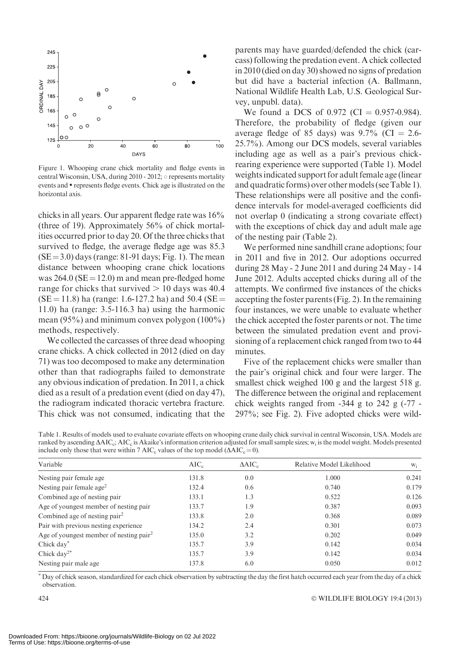

Figure 1. Whooping crane chick mortality and fledge events in central Wisconsin, USA, during  $2010 - 2012$ ;  $\circ$  represents mortality events and  $\bullet$  represents fledge events. Chick age is illustrated on the horizontal axis.

chicks in all years. Our apparent fledge rate was 16% (three of 19). Approximately 56% of chick mortalities occurred prior to day 20. Of the three chicks that survived to fledge, the average fledge age was 85.3  $(SE = 3.0)$  days (range: 81-91 days; Fig. 1). The mean distance between whooping crane chick locations was  $264.0$  (SE = 12.0) m and mean pre-fledged home range for chicks that survived  $> 10$  days was 40.4  $(SE = 11.8)$  ha (range: 1.6-127.2 ha) and 50.4 (SE = 11.0) ha (range: 3.5-116.3 ha) using the harmonic mean (95%) and minimum convex polygon (100%) methods, respectively.

We collected the carcasses of three dead whooping crane chicks. A chick collected in 2012 (died on day 71) was too decomposed to make any determination other than that radiographs failed to demonstrate any obvious indication of predation. In 2011, a chick died as a result of a predation event (died on day 47), the radiogram indicated thoracic vertebra fracture. This chick was not consumed, indicating that the

parents may have guarded/defended the chick (carcass) following the predation event. A chick collected in 2010 (died on day 30) showed no signs of predation but did have a bacterial infection (A. Ballmann, National Wildlife Health Lab, U.S. Geological Survey, unpubl. data).

We found a DCS of 0.972 (CI =  $0.957-0.984$ ). Therefore, the probability of fledge (given our average fledge of 85 days) was  $9.7\%$  (CI = 2.6-25.7%). Among our DCS models, several variables including age as well as a pair's previous chickrearing experience were supported (Table 1). Model weights indicated support for adult female age (linear and quadratic forms) over othermodels (see Table 1). These relationships were all positive and the confidence intervals for model-averaged coefficients did not overlap 0 (indicating a strong covariate effect) with the exceptions of chick day and adult male age of the nesting pair (Table 2).

We performed nine sandhill crane adoptions; four in 2011 and five in 2012. Our adoptions occurred during 28 May - 2 June 2011 and during 24 May - 14 June 2012. Adults accepted chicks during all of the attempts. We confirmed five instances of the chicks accepting the foster parents (Fig. 2). In the remaining four instances, we were unable to evaluate whether the chick accepted the foster parents or not. The time between the simulated predation event and provisioning of a replacement chick ranged from two to 44 minutes.

Five of the replacement chicks were smaller than the pair's original chick and four were larger. The smallest chick weighed 100 g and the largest 518 g. The difference between the original and replacement chick weights ranged from  $-344$  g to 242 g  $(-77 -$ 297%; see Fig. 2). Five adopted chicks were wild-

Table 1. Results of models used to evaluate covariate effects on whooping crane daily chick survival in central Wisconsin, USA. Models are ranked by ascending  $\triangle AIC_c$ ;  $\triangle AIC_c$  is Akaike's information criterion adjusted for small sample sizes;  $w_i$  is the model weight. Models presented include only those that were within 7 AIC<sub>c</sub> values of the top model ( $\Delta AIC_c = 0$ ).

| Variable                                            | $AIC_c$ | $\Delta AIC_c$ | Relative Model Likelihood | $W_i$ |  |
|-----------------------------------------------------|---------|----------------|---------------------------|-------|--|
| Nesting pair female age                             | 131.8   | 0.0            | 1.000                     | 0.241 |  |
| Nesting pair female age <sup>2</sup>                | 132.4   | 0.6            | 0.740                     | 0.179 |  |
| Combined age of nesting pair                        | 133.1   | 1.3            | 0.522                     | 0.126 |  |
| Age of youngest member of nesting pair              | 133.7   | 1.9            | 0.387                     | 0.093 |  |
| Combined age of nesting pair <sup>2</sup>           | 133.8   | 2.0            | 0.368                     | 0.089 |  |
| Pair with previous nesting experience               | 134.2   | 2.4            | 0.301                     | 0.073 |  |
| Age of youngest member of nesting pair <sup>2</sup> | 135.0   | 3.2            | 0.202                     | 0.049 |  |
| Chick day*                                          | 135.7   | 3.9            | 0.142                     | 0.034 |  |
| Chick day <sup>2*</sup>                             | 135.7   | 3.9            | 0.142                     | 0.034 |  |
| Nesting pair male age                               | 137.8   | 6.0            | 0.050                     | 0.012 |  |
|                                                     |         |                |                           |       |  |

\* Day of chick season, standardized for each chick observation by subtracting the day the first hatch occurred each year from the day of a chick observation.

WILDLIFE BIOLOGY 19:4 (2013)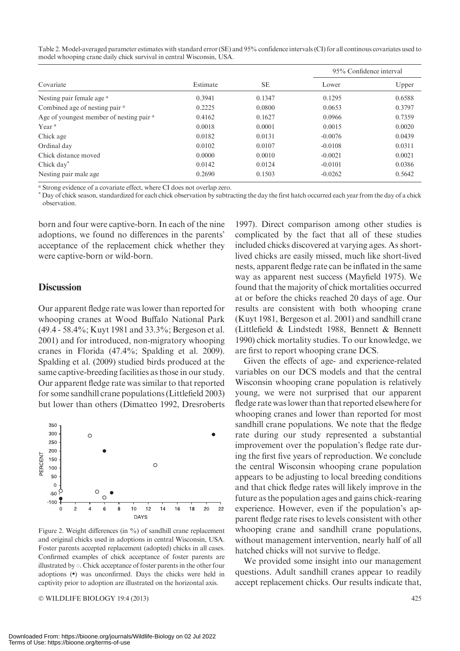Table 2.Model-averaged parameter estimates with standard error (SE) and 95% confidence intervals (CI) for all continous covariates used to model whooping crane daily chick survival in central Wisconsin, USA.

| Covariate                                           | Estimate | <b>SE</b> | 95% Confidence interval |        |
|-----------------------------------------------------|----------|-----------|-------------------------|--------|
|                                                     |          |           | Lower                   | Upper  |
| Nesting pair female age <sup>a</sup>                | 0.3941   | 0.1347    | 0.1295                  | 0.6588 |
| Combined age of nesting pair <sup>a</sup>           | 0.2225   | 0.0800    | 0.0653                  | 0.3797 |
| Age of youngest member of nesting pair <sup>a</sup> | 0.4162   | 0.1627    | 0.0966                  | 0.7359 |
| Year <sup>a</sup>                                   | 0.0018   | 0.0001    | 0.0015                  | 0.0020 |
| Chick age                                           | 0.0182   | 0.0131    | $-0.0076$               | 0.0439 |
| Ordinal day                                         | 0.0102   | 0.0107    | $-0.0108$               | 0.0311 |
| Chick distance moved                                | 0.0000   | 0.0010    | $-0.0021$               | 0.0021 |
| Chick day"                                          | 0.0142   | 0.0124    | $-0.0101$               | 0.0386 |
| Nesting pair male age.                              | 0.2690   | 0.1503    | $-0.0262$               | 0.5642 |

<sup>a</sup> Strong evidence of a covariate effect, where CI does not overlap zero.

\* Day of chick season, standardized for each chick observation by subtracting the day the first hatch occurred each year from the day of a chick observation.

born and four were captive-born. In each of the nine adoptions, we found no differences in the parents' acceptance of the replacement chick whether they were captive-born or wild-born.

#### **Discussion**

Our apparent fledge rate was lower than reported for whooping cranes at Wood Buffalo National Park (49.4 - 58.4%; Kuyt 1981 and 33.3%; Bergeson et al. 2001) and for introduced, non-migratory whooping cranes in Florida (47.4%; Spalding et al. 2009). Spalding et al. (2009) studied birds produced at the same captive-breeding facilities as those in our study. Our apparent fledge rate was similar to that reported for some sandhill crane populations (Littlefield 2003) but lower than others (Dimatteo 1992, Dresroberts



Figure 2. Weight differences (in %) of sandhill crane replacement and original chicks used in adoptions in central Wisconsin, USA. Foster parents accepted replacement (adopted) chicks in all cases. Confirmed examples of chick acceptance of foster parents are illustrated by  $\circ$ . Chick acceptance of foster parents in the other four adoptions ( $\bullet$ ) was unconfirmed. Days the chicks were held in captivity prior to adoption are illustrated on the horizontal axis.

© WILDLIFE BIOLOGY 19:4 (2013) 425

1997). Direct comparison among other studies is complicated by the fact that all of these studies included chicks discovered at varying ages. As shortlived chicks are easily missed, much like short-lived nests, apparent fledge rate can be inflated in the same way as apparent nest success (Mayfield 1975). We found that the majority of chick mortalities occurred at or before the chicks reached 20 days of age. Our results are consistent with both whooping crane (Kuyt 1981, Bergeson et al. 2001) and sandhill crane (Littlefield & Lindstedt 1988, Bennett & Bennett 1990) chick mortality studies. To our knowledge, we are first to report whooping crane DCS.

Given the effects of age- and experience-related variables on our DCS models and that the central Wisconsin whooping crane population is relatively young, we were not surprised that our apparent fledge rate was lower than that reported elsewhere for whooping cranes and lower than reported for most sandhill crane populations. We note that the fledge rate during our study represented a substantial improvement over the population's fledge rate during the first five years of reproduction. We conclude the central Wisconsin whooping crane population appears to be adjusting to local breeding conditions and that chick fledge rates will likely improve in the future as the population ages and gains chick-rearing experience. However, even if the population's apparent fledge rate rises to levels consistent with other whooping crane and sandhill crane populations, without management intervention, nearly half of all hatched chicks will not survive to fledge.

We provided some insight into our management questions. Adult sandhill cranes appear to readily accept replacement chicks. Our results indicate that,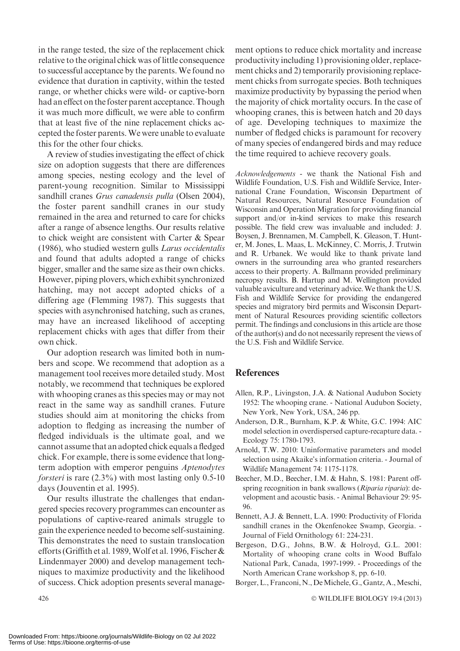in the range tested, the size of the replacement chick relative to the original chick was of little consequence to successful acceptance by the parents.We found no evidence that duration in captivity, within the tested range, or whether chicks were wild- or captive-born had an effect on the foster parent acceptance. Though it was much more difficult, we were able to confirm that at least five of the nine replacement chicks accepted the foster parents.We were unable to evaluate this for the other four chicks.

A review of studies investigating the effect of chick size on adoption suggests that there are differences among species, nesting ecology and the level of parent-young recognition. Similar to Mississippi sandhill cranes Grus canadensis pulla (Olsen 2004), the foster parent sandhill cranes in our study remained in the area and returned to care for chicks after a range of absence lengths. Our results relative to chick weight are consistent with Carter & Spear (1986), who studied western gulls Larus occidentalis and found that adults adopted a range of chicks bigger, smaller and the same size as their own chicks. However, piping plovers, which exhibit synchronized hatching, may not accept adopted chicks of a differing age (Flemming 1987). This suggests that species with asynchronised hatching, such as cranes, may have an increased likelihood of accepting replacement chicks with ages that differ from their own chick.

Our adoption research was limited both in numbers and scope. We recommend that adoption as a management tool receives more detailed study. Most notably, we recommend that techniques be explored with whooping cranes as this species may or may not react in the same way as sandhill cranes. Future studies should aim at monitoring the chicks from adoption to fledging as increasing the number of fledged individuals is the ultimate goal, and we cannot assume that an adopted chick equals a fledged chick. For example, there is some evidence that longterm adoption with emperor penguins Aptenodytes forsteri is rare (2.3%) with most lasting only 0.5-10 days (Jouventin et al. 1995).

Our results illustrate the challenges that endangered species recovery programmes can encounter as populations of captive-reared animals struggle to gain the experience needed to become self-sustaining. This demonstrates the need to sustain translocation efforts (Griffith et al. 1989,Wolf et al. 1996, Fischer & Lindenmayer 2000) and develop management techniques to maximize productivity and the likelihood of success. Chick adoption presents several management options to reduce chick mortality and increase productivity including 1) provisioning older, replacement chicks and 2) temporarily provisioning replacement chicks from surrogate species. Both techniques maximize productivity by bypassing the period when the majority of chick mortality occurs. In the case of whooping cranes, this is between hatch and 20 days of age. Developing techniques to maximize the number of fledged chicks is paramount for recovery of many species of endangered birds and may reduce the time required to achieve recovery goals.

Acknowledgements - we thank the National Fish and Wildlife Foundation, U.S. Fish and Wildlife Service, International Crane Foundation, Wisconsin Department of Natural Resources, Natural Resource Foundation of Wisconsin and Operation Migration for providing financial support and/or in-kind services to make this research possible. The field crew was invaluable and included: J. Boysen, J. Brennamen, M. Campbell, K. Gleason, T. Hunter, M. Jones, L. Maas, L. McKinney, C. Morris, J. Trutwin and R. Urbanek. We would like to thank private land owners in the surrounding area who granted researchers access to their property. A. Ballmann provided preliminary necropsy results. B. Hartup and M. Wellington provided valuable aviculture and veterinary advice.We thank the U.S. Fish and Wildlife Service for providing the endangered species and migratory bird permits and Wisconsin Department of Natural Resources providing scientific collectors permit. The findings and conclusions in this article are those of the author(s) and do not necessarily represent the views of the U.S. Fish and Wildlife Service.

### References

- Allen, R.P., Livingston, J.A. & National Audubon Society 1952: The whooping crane. - National Audubon Society, New York, New York, USA, 246 pp.
- Anderson, D.R., Burnham, K.P. & White, G.C. 1994: AIC model selection in overdispersed capture-recapture data. - Ecology 75: 1780-1793.
- Arnold, T.W. 2010: Uninformative parameters and model selection using Akaike's information criteria. - Journal of Wildlife Management 74: 1175-1178.
- Beecher, M.D., Beecher, I.M. & Hahn, S. 1981: Parent offspring recognition in bank swallows (Riparia riparia): development and acoustic basis. - Animal Behaviour 29: 95- 96.
- Bennett, A.J. & Bennett, L.A. 1990: Productivity of Florida sandhill cranes in the Okenfenokee Swamp, Georgia. - Journal of Field Ornithology 61: 224-231.
- Bergeson, D.G., Johns, B.W. & Holroyd, G.L. 2001: Mortality of whooping crane colts in Wood Buffalo National Park, Canada, 1997-1999. - Proceedings of the North American Crane workshop 8, pp. 6-10.
- Borger, L., Franconi, N., De Michele, G., Gantz, A., Meschi,

WILDLIFE BIOLOGY 19:4 (2013)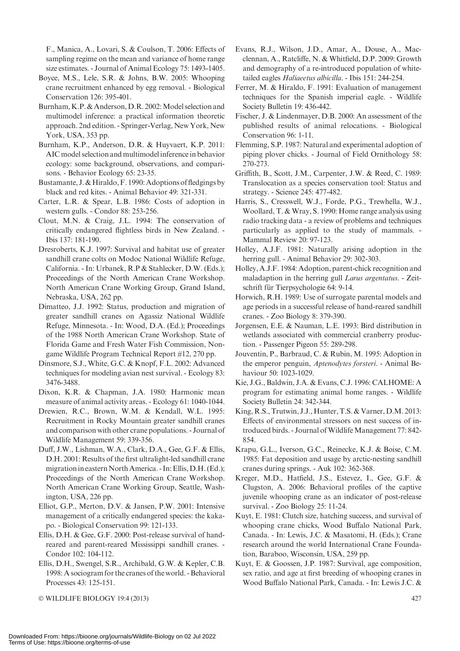F., Manica, A., Lovari, S. & Coulson, T. 2006: Effects of sampling regime on the mean and variance of home range size estimates. - Journal of Animal Ecology 75: 1493-1405.

- Boyce, M.S., Lele, S.R. & Johns, B.W. 2005: Whooping crane recruitment enhanced by egg removal. - Biological Conservation 126: 395-401.
- Burnham, K.P. & Anderson, D.R. 2002: Model selection and multimodel inference: a practical information theoretic approach. 2nd edition. - Springer-Verlag, New York, New York, USA, 353 pp.
- Burnham, K.P., Anderson, D.R. & Huyvaert, K.P. 2011: AIC model selection and multimodel inference in behavior ecology: some background, observations, and comparisons. - Behavior Ecology 65: 23-35.
- Bustamante, J. & Hiraldo,F. 1990: Adoptions of fledgings by black and red kites. - Animal Behavior 49: 321-331.
- Carter, L.R. & Spear, L.B. 1986: Costs of adoption in western gulls. - Condor 88: 253-256.
- Clout, M.N. & Craig, J.L. 1994: The conservation of critically endangered flightless birds in New Zealand. - Ibis 137: 181-190.
- Dresroberts, K.J. 1997: Survival and habitat use of greater sandhill crane colts on Modoc National Wildlife Refuge, California. - In: Urbanek, R.P & Stahlecker, D.W. (Eds.); Proceedings of the North American Crane Workshop. North American Crane Working Group, Grand Island, Nebraska, USA, 262 pp.
- Dimatteo, J.J. 1992: Status, production and migration of greater sandhill cranes on Agassiz National Wildlife Refuge, Minnesota. - In: Wood, D.A. (Ed.); Proceedings of the 1988 North American Crane Workshop. State of Florida Game and Fresh Water Fish Commission, Nongame Wildlife Program Technical Report #12, 270 pp.
- Dinsmore, S.J., White, G.C. & Knopf, F.L. 2002: Advanced techniques for modeling avian nest survival. - Ecology 83: 3476-3488.
- Dixon, K.R. & Chapman, J.A. 1980: Harmonic mean measure of animal activity areas. - Ecology 61: 1040-1044.
- Drewien, R.C., Brown, W.M. & Kendall, W.L. 1995: Recruitment in Rocky Mountain greater sandhill cranes and comparison with other crane populations. - Journal of Wildlife Management 59: 339-356.
- Duff, J.W., Lishman, W.A., Clark, D.A., Gee, G.F. & Ellis, D.H. 2001: Results of the first ultralight-led sandhill crane migration in eastern North America. - In: Ellis, D.H. (Ed.); Proceedings of the North American Crane Workshop. North American Crane Working Group, Seattle, Washington, USA, 226 pp.
- Elliot, G.P., Merton, D.V. & Jansen, P.W. 2001: Intensive management of a critically endangered species: the kakapo. - Biological Conservation 99: 121-133.
- Ellis, D.H. & Gee, G.F. 2000: Post-release survival of handreared and parent-reared Mississippi sandhill cranes. - Condor 102: 104-112.
- Ellis, D.H., Swengel, S.R., Archibald, G.W. & Kepler, C.B. 1998: A sociogram for the cranes of the world. - Behavioral Processes 43: 125-151.

© WILDLIFE BIOLOGY 19:4 (2013) 427

- Evans, R.J., Wilson, J.D., Amar, A., Douse, A., Macclennan, A., Ratcliffe, N. & Whitfield, D.P. 2009: Growth and demography of a re-introduced population of whitetailed eagles Haliaeetus albicilla. - Ibis 151: 244-254.
- Ferrer, M. & Hiraldo, F. 1991: Evaluation of management techniques for the Spanish imperial eagle. - Wildlife Society Bulletin 19: 436-442.
- Fischer, J. & Lindenmayer, D.B. 2000: An assessment of the published results of animal relocations. - Biological Conservation 96: 1-11.
- Flemming, S.P. 1987: Natural and experimental adoption of piping plover chicks. - Journal of Field Ornithology 58: 270-273.
- Griffith, B., Scott, J.M., Carpenter, J.W. & Reed, C. 1989: Translocation as a species conservation tool: Status and strategy. - Science 245: 477-482.
- Harris, S., Cresswell, W.J., Forde, P.G., Trewhella, W.J., Woollard, T. & Wray, S. 1990: Home range analysis using radio tracking data - a review of problems and techniques particularly as applied to the study of mammals. - Mammal Review 20: 97-123.
- Holley, A.J.F. 1981: Naturally arising adoption in the herring gull. - Animal Behavior 29: 302-303.
- Holley, A.J.F. 1984: Adoption, parent-chick recognition and maladaption in the herring gull Larus argentatus. - Zeitschrift für Tierpsychologie 64: 9-14.
- Horwich, R.H. 1989: Use of surrogate parental models and age periods in a successful release of hand-reared sandhill cranes. - Zoo Biology 8: 379-390.
- Jorgensen, E.E. & Nauman, L.E. 1993: Bird distribution in wetlands associated with commercial cranberry production. - Passenger Pigeon 55: 289-298.
- Jouventin, P., Barbraud, C. & Rubin, M. 1995: Adoption in the emperor penguin, Aptenodytes forsteri. - Animal Behaviour 50: 1023-1029.
- Kie, J.G., Baldwin, J.A. & Evans, C.J. 1996: CALHOME: A program for estimating animal home ranges. - Wildlife Society Bulletin 24: 342-344.
- King, R.S., Trutwin, J.J., Hunter, T.S. & Varner, D.M. 2013: Effects of environmental stressors on nest success of introduced birds. - Journal of Wildlife Management 77: 842-854.
- Krapu, G.L., Iverson, G.C., Reinecke, K.J. & Boise, C.M. 1985: Fat deposition and usage by arctic-nesting sandhill cranes during springs. - Auk 102: 362-368.
- Kreger, M.D., Hatfield, J.S., Estevez, I., Gee, G.F. & Clugston, A. 2006: Behavioral profiles of the captive juvenile whooping crane as an indicator of post-release survival. - Zoo Biology 25: 11-24.
- Kuyt, E. 1981: Clutch size, hatching success, and survival of whooping crane chicks, Wood Buffalo National Park, Canada. - In: Lewis, J.C. & Masatomi, H. (Eds.); Crane research around the world International Crane Foundation, Baraboo, Wisconsin, USA, 259 pp.
- Kuyt, E. & Goossen, J.P. 1987: Survival, age composition, sex ratio, and age at first breeding of whooping cranes in Wood Buffalo National Park, Canada. - In: Lewis J.C. &